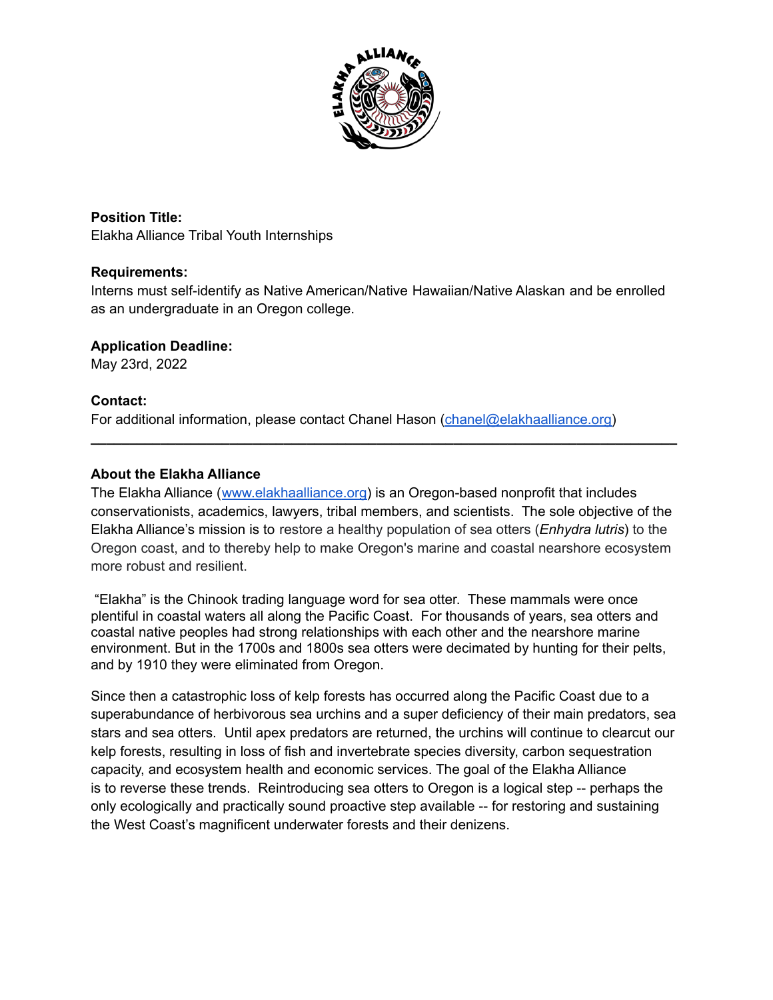

**Position Title:** Elakha Alliance Tribal Youth Internships

### **Requirements:**

Interns must self-identify as Native American/Native Hawaiian/Native Alaskan and be enrolled as an undergraduate in an Oregon college.

### **Application Deadline:**

May 23rd, 2022

### **Contact:**

For additional information, please contact Chanel Hason [\(chanel@elakhaalliance.org\)](mailto:chanel@elakhaalliance.org)

### **About the Elakha Alliance**

The Elakha Alliance ([www.elakhaalliance.org\)](http://www.elakhaalliance.org) is an Oregon-based nonprofit that includes conservationists, academics, lawyers, tribal members, and scientists. The sole objective of the Elakha Alliance's mission is to restore a healthy population of sea otters (*Enhydra lutris*) to the Oregon coast, and to thereby help to make Oregon's marine and coastal nearshore ecosystem more robust and resilient.

**\_\_\_\_\_\_\_\_\_\_\_\_\_\_\_\_\_\_\_\_\_\_\_\_\_\_\_\_\_\_\_\_\_\_\_\_\_\_\_\_\_\_\_\_\_\_\_\_\_\_\_\_\_\_\_\_\_\_\_\_\_\_\_\_\_\_\_\_\_\_\_\_\_\_\_\_**

"Elakha" is the Chinook trading language word for sea otter. These mammals were once plentiful in coastal waters all along the Pacific Coast. For thousands of years, sea otters and coastal native peoples had strong relationships with each other and the nearshore marine environment. But in the 1700s and 1800s sea otters were decimated by hunting for their pelts, and by 1910 they were eliminated from Oregon.

Since then a catastrophic loss of kelp forests has occurred along the Pacific Coast due to a superabundance of herbivorous sea urchins and a super deficiency of their main predators, sea stars and sea otters. Until apex predators are returned, the urchins will continue to clearcut our kelp forests, resulting in loss of fish and invertebrate species diversity, carbon sequestration capacity, and ecosystem health and economic services. The goal of the Elakha Alliance is to reverse these trends. Reintroducing sea otters to Oregon is a logical step -- perhaps the only ecologically and practically sound proactive step available -- for restoring and sustaining the West Coast's magnificent underwater forests and their denizens.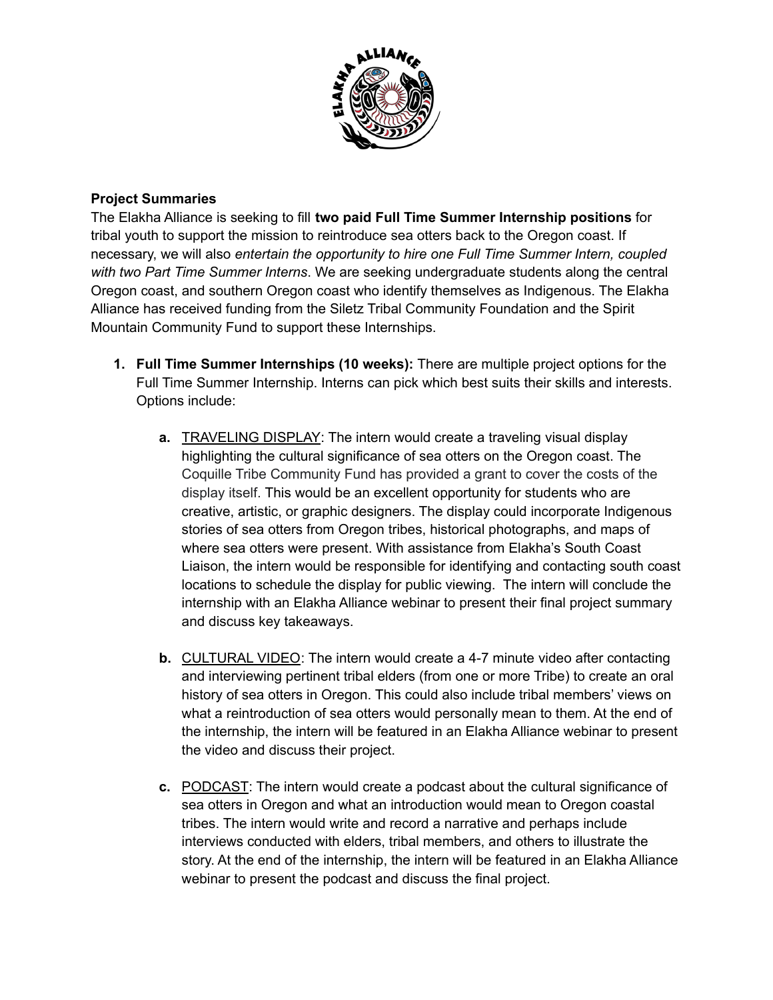

### **Project Summaries**

The Elakha Alliance is seeking to fill **two paid Full Time Summer Internship positions** for tribal youth to support the mission to reintroduce sea otters back to the Oregon coast. If necessary, we will also *entertain the opportunity to hire one Full Time Summer Intern, coupled with two Part Time Summer Interns*. We are seeking undergraduate students along the central Oregon coast, and southern Oregon coast who identify themselves as Indigenous. The Elakha Alliance has received funding from the Siletz Tribal Community Foundation and the Spirit Mountain Community Fund to support these Internships.

- **1. Full Time Summer Internships (10 weeks):** There are multiple project options for the Full Time Summer Internship. Interns can pick which best suits their skills and interests. Options include:
	- **a.** TRAVELING DISPLAY: The intern would create a traveling visual display highlighting the cultural significance of sea otters on the Oregon coast. The Coquille Tribe Community Fund has provided a grant to cover the costs of the display itself. This would be an excellent opportunity for students who are creative, artistic, or graphic designers. The display could incorporate Indigenous stories of sea otters from Oregon tribes, historical photographs, and maps of where sea otters were present. With assistance from Elakha's South Coast Liaison, the intern would be responsible for identifying and contacting south coast locations to schedule the display for public viewing. The intern will conclude the internship with an Elakha Alliance webinar to present their final project summary and discuss key takeaways.
	- **b.** CULTURAL VIDEO: The intern would create a 4-7 minute video after contacting and interviewing pertinent tribal elders (from one or more Tribe) to create an oral history of sea otters in Oregon. This could also include tribal members' views on what a reintroduction of sea otters would personally mean to them. At the end of the internship, the intern will be featured in an Elakha Alliance webinar to present the video and discuss their project.
	- **c.** PODCAST: The intern would create a podcast about the cultural significance of sea otters in Oregon and what an introduction would mean to Oregon coastal tribes. The intern would write and record a narrative and perhaps include interviews conducted with elders, tribal members, and others to illustrate the story. At the end of the internship, the intern will be featured in an Elakha Alliance webinar to present the podcast and discuss the final project.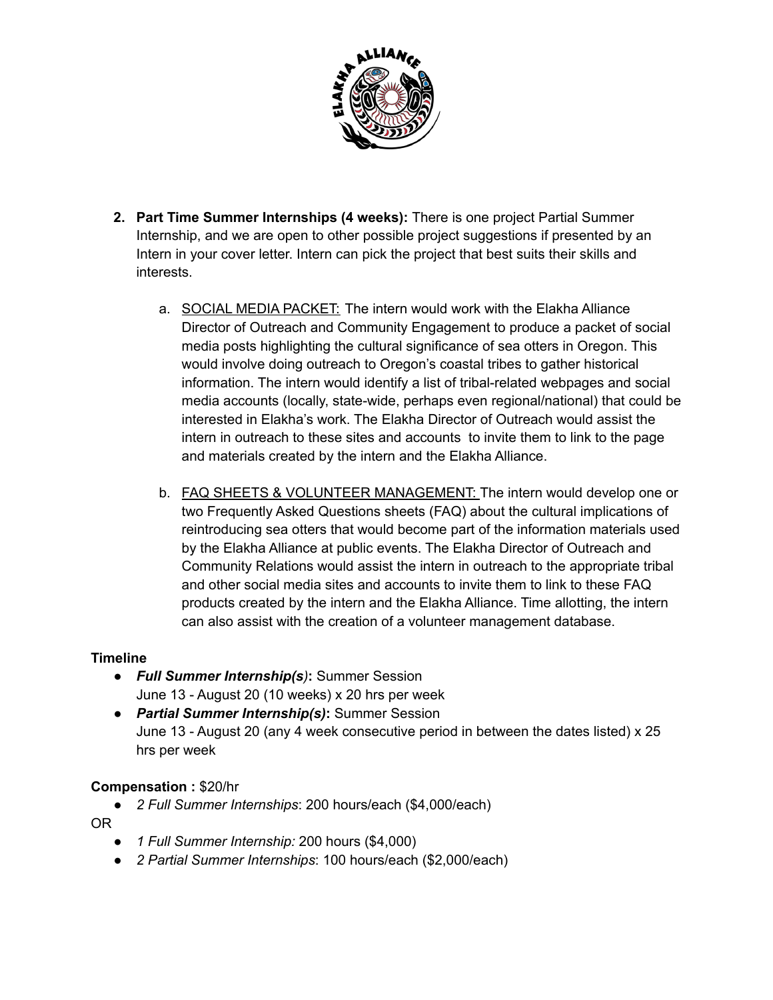

- **2. Part Time Summer Internships (4 weeks):** There is one project Partial Summer Internship, and we are open to other possible project suggestions if presented by an Intern in your cover letter. Intern can pick the project that best suits their skills and interests.
	- a. SOCIAL MEDIA PACKET: The intern would work with the Elakha Alliance Director of Outreach and Community Engagement to produce a packet of social media posts highlighting the cultural significance of sea otters in Oregon. This would involve doing outreach to Oregon's coastal tribes to gather historical information. The intern would identify a list of tribal-related webpages and social media accounts (locally, state-wide, perhaps even regional/national) that could be interested in Elakha's work. The Elakha Director of Outreach would assist the intern in outreach to these sites and accounts to invite them to link to the page and materials created by the intern and the Elakha Alliance.
	- b. FAQ SHEETS & VOLUNTEER MANAGEMENT: The intern would develop one or two Frequently Asked Questions sheets (FAQ) about the cultural implications of reintroducing sea otters that would become part of the information materials used by the Elakha Alliance at public events. The Elakha Director of Outreach and Community Relations would assist the intern in outreach to the appropriate tribal and other social media sites and accounts to invite them to link to these FAQ products created by the intern and the Elakha Alliance. Time allotting, the intern can also assist with the creation of a volunteer management database.

### **Timeline**

- *Full Summer Internship(s)***:** Summer Session June 13 - August 20 (10 weeks) x 20 hrs per week
- *Partial Summer Internship(s)***:** Summer Session June 13 - August 20 (any 4 week consecutive period in between the dates listed) x 25 hrs per week

#### **Compensation :** \$20/hr

● *2 Full Summer Internships*: 200 hours/each (\$4,000/each)

OR

- *1 Full Summer Internship:* 200 hours (\$4,000)
- *2 Partial Summer Internships*: 100 hours/each (\$2,000/each)